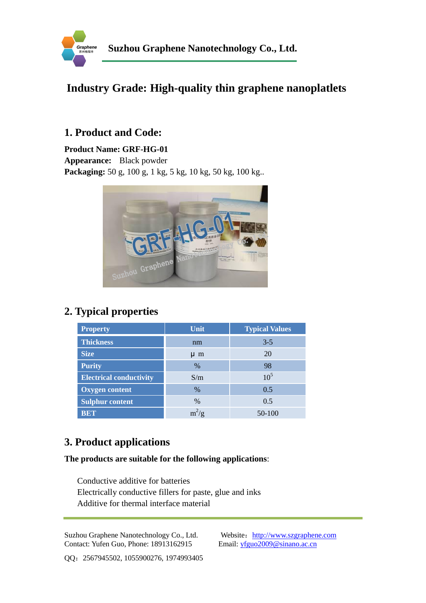

### **Industry Grade: [High-quality thin graphene](https://www.google.com.hk/url?q=http://www.sciencedirect.com/science/article/pii/S0008622311001849&sa=U&ei=kdtRU4LGJI-tiQf9nYGQDg&ved=0CCYQFjAB&usg=AFQjCNHjbc45iJCcu7Ul6sNu1cNJDlCvcg) nanoplatlets**

### **1. Product and Code:**

**Product Name: GRF-HG-01 Appearance:** Black powder **Packaging:** 50 g, 100 g, 1 kg, 5 kg, 10 kg, 50 kg, 100 kg..



# **2. Typical properties**

| <b>Property</b>                | Unit          | <b>Typical Values</b> |
|--------------------------------|---------------|-----------------------|
| <b>Thickness</b>               | nm            | $3 - 5$               |
| <b>Size</b>                    | $\mu$ m       | 20                    |
| <b>Purity</b>                  | $\%$          | 98                    |
| <b>Electrical conductivity</b> | S/m           | 10 <sup>5</sup>       |
| <b>Oxygen content</b>          | $\%$          | 0.5                   |
| <b>Sulphur content</b>         | $\frac{0}{0}$ | 0.5                   |
| <b>BET</b>                     | $m^2/g$       | 50-100                |

# **3. Product applications**

#### **The products are suitable for the following applications**:

Conductive additive for batteries Electrically conductive fillers for paste, glue and inks Additive for thermal interface material

Suzhou Graphene Nanotechnology Co., Ltd. Website: http://www.szgraphene.com Contact: Yufen Guo, Phone: 18913162915 Email: yfguo2009@sinano.ac.cn

QQ:2567945502, 1055900276, 1974993405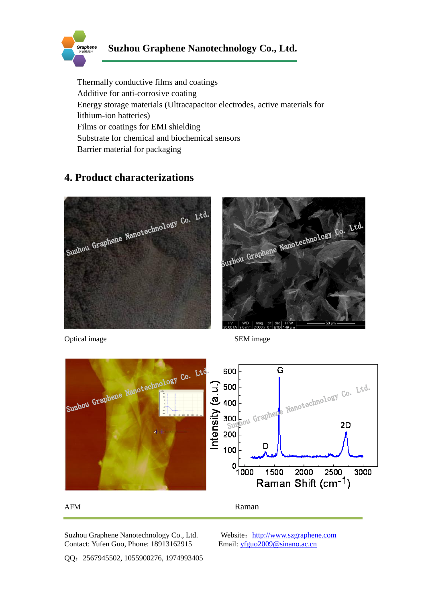

Thermally conductive films and coatings Additive for anti-corrosive coating Energy storage materials (Ultracapacitor electrodes, active materials for lithium-ion batteries) Films or coatings for EMI shielding Substrate for chemical and biochemical sensors Barrier material for packaging

### **4. Product characterizations**



Optical image SEM image





Suzhou Graphene Nanotechnology Co., Ltd. Website: http://www.szgraphene.com Contact: Yufen Guo, Phone: 18913162915 Email: yfguo2009@sinano.ac.cn

QQ:2567945502, 1055900276, 1974993405